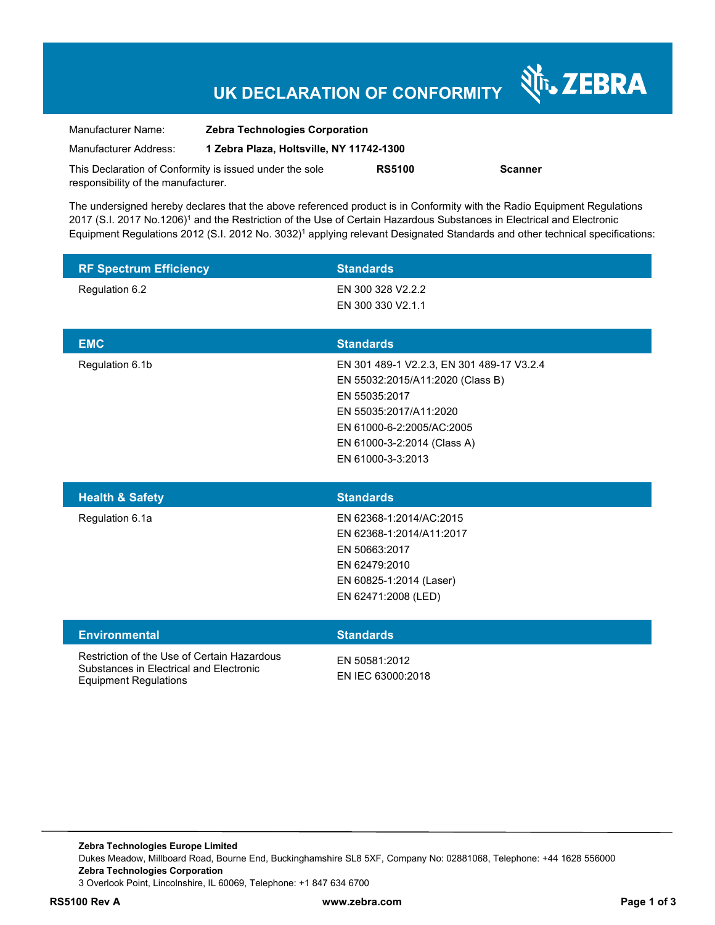# **UK DECLARATION OF CONFORMITY**

Nr. ZEBRA

| Manufacturer Name:                                      | <b>Zebra Technologies Corporation</b>    |               |                |
|---------------------------------------------------------|------------------------------------------|---------------|----------------|
| Manufacturer Address:                                   | 1 Zebra Plaza, Holtsville, NY 11742-1300 |               |                |
| This Declaration of Conformity is issued under the sole |                                          | <b>RS5100</b> | <b>Scanner</b> |
| responsibility of the manufacturer.                     |                                          |               |                |

The undersigned hereby declares that the above referenced product is in Conformity with the Radio Equipment Regulations 2017 (S.I. 2017 No.1206)<sup>1</sup> and the Restriction of the Use of Certain Hazardous Substances in Electrical and Electronic Equipment Regulations 2012 (S.I. 2012 No. 3032)<sup>1</sup> applying relevant Designated Standards and other technical specifications:

| <b>RF Spectrum Efficiency</b> | <b>Standards</b>                                                                                                                                                                     |
|-------------------------------|--------------------------------------------------------------------------------------------------------------------------------------------------------------------------------------|
| Regulation 6.2                | EN 300 328 V2.2.2<br>EN 300 330 V2.1.1                                                                                                                                               |
|                               |                                                                                                                                                                                      |
| <b>EMC</b>                    | <b>Standards</b>                                                                                                                                                                     |
| Regulation 6.1b               | EN 301 489-1 V2.2.3, EN 301 489-17 V3.2.4<br>EN 55032:2015/A11:2020 (Class B)<br>EN 55035:2017<br>EN 55035:2017/A11:2020<br>EN 61000-6-2:2005/AC:2005<br>EN 61000-3-2:2014 (Class A) |
|                               | EN 61000-3-3:2013                                                                                                                                                                    |
|                               |                                                                                                                                                                                      |
| <b>Health &amp; Safety</b>    | <b>Standards</b>                                                                                                                                                                     |
| Regulation 6.1a               | EN 62368-1:2014/AC:2015<br>EN 62368-1:2014/A11:2017<br>EN 50663:2017<br>EN 62479:2010<br>EN 60825-1:2014 (Laser)<br>EN 62471:2008 (LED)                                              |
| <b>Environmental</b>          | <b>Standards</b>                                                                                                                                                                     |

**RS5100 Rev A www.zebra.com Page 1 of 3**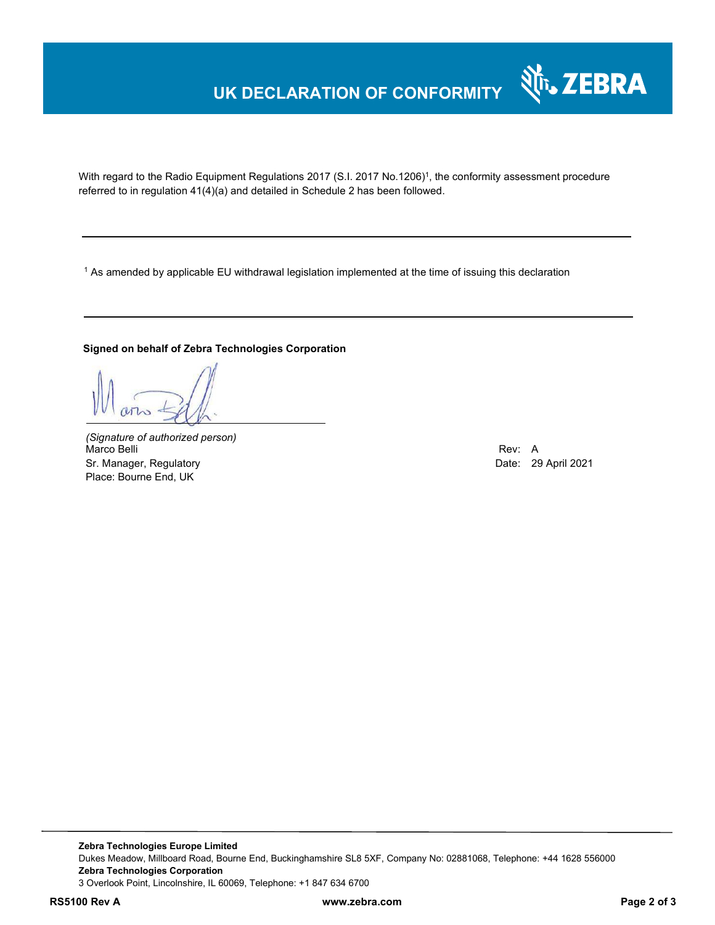# **UK DECLARATION OF CONFORMITY**

With regard to the Radio Equipment Regulations 2017 (S.I. 2017 No.1206)<sup>1</sup>, the conformity assessment procedure referred to in regulation 41(4)(a) and detailed in Schedule 2 has been followed.

1 As amended by applicable EU withdrawal legislation implemented at the time of issuing this declaration

#### **Signed on behalf of Zebra Technologies Corporation**

*(Signature of authorized person)* Marco Belli Rev: A Sr. Manager, Regulatory **Date: 29 April 2021** Place: Bourne End, UK

श्री<sub>1</sub>, ZEBRA